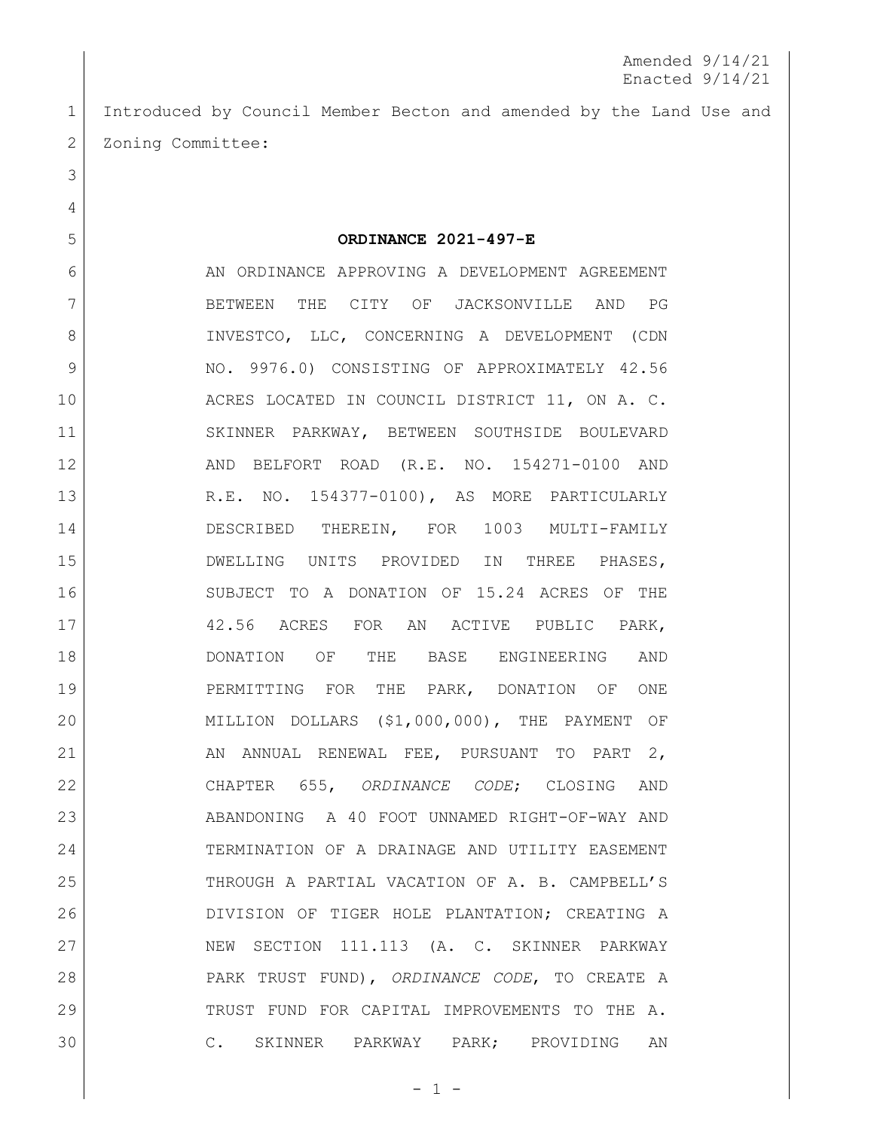Introduced by Council Member Becton and amended by the Land Use and 2 Zoning Committee:

6 AN ORDINANCE APPROVING A DEVELOPMENT AGREEMENT BETWEEN THE CITY OF JACKSONVILLE AND PG 8 INVESTCO, LLC, CONCERNING A DEVELOPMENT (CDN 9 NO. 9976.0) CONSISTING OF APPROXIMATELY 42.56 10 ACRES LOCATED IN COUNCIL DISTRICT 11, ON A. C. SKINNER PARKWAY, BETWEEN SOUTHSIDE BOULEVARD AND BELFORT ROAD (R.E. NO. 154271-0100 AND 13 R.E. NO. 154377-0100), AS MORE PARTICULARLY 14 DESCRIBED THEREIN, FOR 1003 MULTI-FAMILY DWELLING UNITS PROVIDED IN THREE PHASES, SUBJECT TO A DONATION OF 15.24 ACRES OF THE 42.56 ACRES FOR AN ACTIVE PUBLIC PARK,

**ORDINANCE 2021-497-E**

 DONATION OF THE BASE ENGINEERING AND PERMITTING FOR THE PARK, DONATION OF ONE MILLION DOLLARS (\$1,000,000), THE PAYMENT OF 21 AN ANNUAL RENEWAL FEE, PURSUANT TO PART 2, CHAPTER 655, *ORDINANCE CODE*; CLOSING AND ABANDONING A 40 FOOT UNNAMED RIGHT-OF-WAY AND TERMINATION OF A DRAINAGE AND UTILITY EASEMENT THROUGH A PARTIAL VACATION OF A. B. CAMPBELL'S DIVISION OF TIGER HOLE PLANTATION; CREATING A 27 NEW SECTION 111.113 (A. C. SKINNER PARKWAY PARK TRUST FUND), *ORDINANCE CODE*, TO CREATE A 29 TRUST FUND FOR CAPITAL IMPROVEMENTS TO THE A. C. SKINNER PARKWAY PARK; PROVIDING AN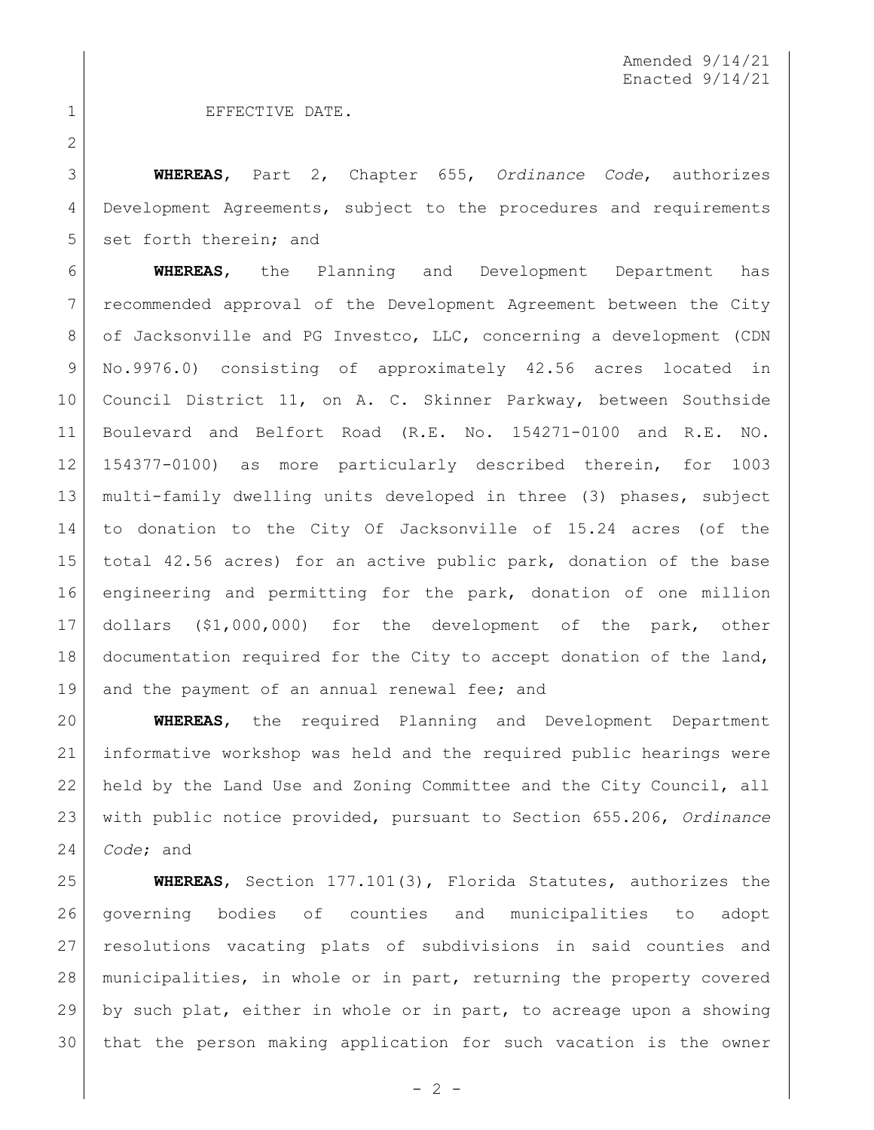1 EFFECTIVE DATE.

 **WHEREAS**, Part 2, Chapter 655, *Ordinance Code*, authorizes 4 Development Agreements, subject to the procedures and requirements 5 set forth therein; and

 **WHEREAS**, the Planning and Development Department has recommended approval of the Development Agreement between the City 8 of Jacksonville and PG Investco, LLC, concerning a development (CDN No.9976.0) consisting of approximately 42.56 acres located in 10 Council District 11, on A. C. Skinner Parkway, between Southside Boulevard and Belfort Road (R.E. No. 154271-0100 and R.E. NO. 154377-0100) as more particularly described therein, for 1003 multi-family dwelling units developed in three (3) phases, subject to donation to the City Of Jacksonville of 15.24 acres (of the total 42.56 acres) for an active public park, donation of the base engineering and permitting for the park, donation of one million dollars (\$1,000,000) for the development of the park, other documentation required for the City to accept donation of the land, 19 and the payment of an annual renewal fee; and

 **WHEREAS**, the required Planning and Development Department informative workshop was held and the required public hearings were held by the Land Use and Zoning Committee and the City Council, all with public notice provided, pursuant to Section 655.206, *Ordinance Code*; and

 **WHEREAS**, Section 177.101(3), Florida Statutes, authorizes the governing bodies of counties and municipalities to adopt resolutions vacating plats of subdivisions in said counties and municipalities, in whole or in part, returning the property covered by such plat, either in whole or in part, to acreage upon a showing that the person making application for such vacation is the owner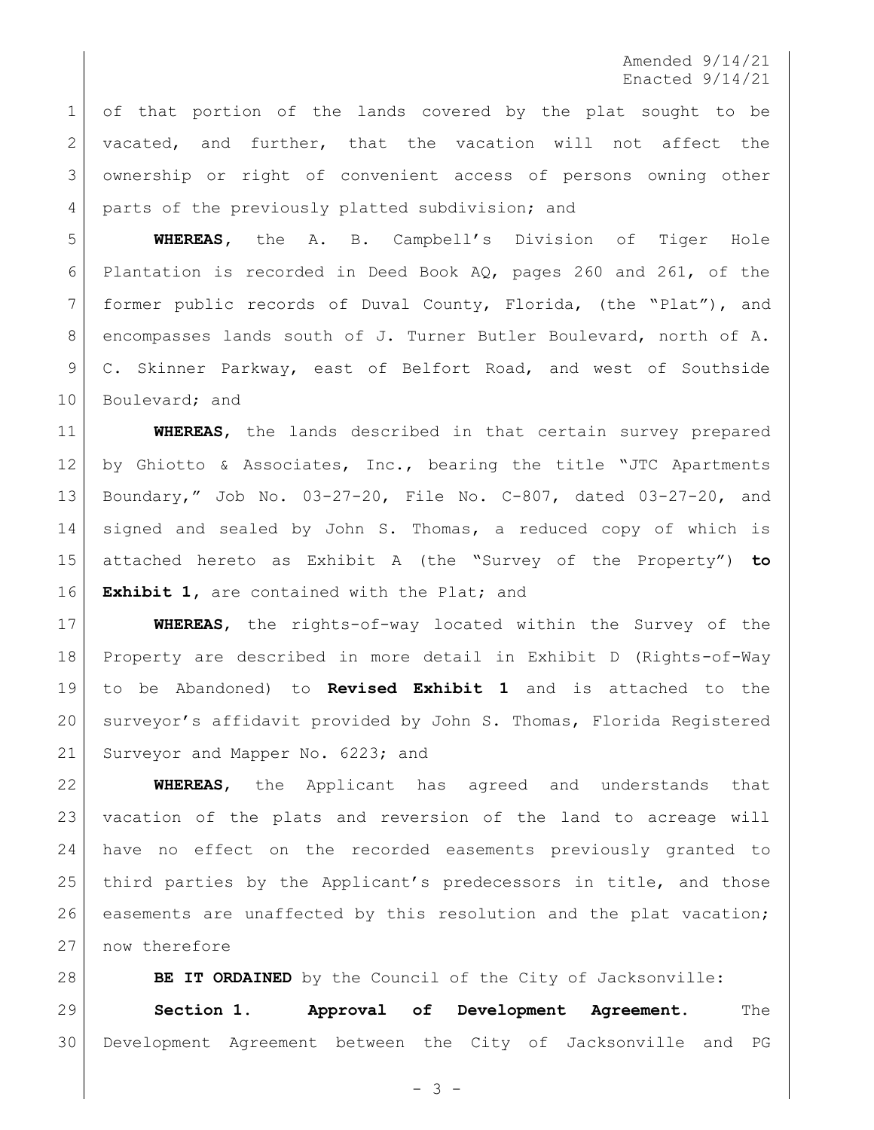Amended 9/14/21 Enacted 9/14/21

 of that portion of the lands covered by the plat sought to be 2 vacated, and further, that the vacation will not affect the ownership or right of convenient access of persons owning other 4 parts of the previously platted subdivision; and

 **WHEREAS,** the A. B. Campbell's Division of Tiger Hole Plantation is recorded in Deed Book AQ, pages 260 and 261, of the former public records of Duval County, Florida, (the "Plat"), and 8 encompasses lands south of J. Turner Butler Boulevard, north of A. 9 C. Skinner Parkway, east of Belfort Road, and west of Southside 10 Boulevard; and

 **WHEREAS**, the lands described in that certain survey prepared 12 by Ghiotto & Associates, Inc., bearing the title "JTC Apartments Boundary," Job No. 03-27-20, File No. C-807, dated 03-27-20, and signed and sealed by John S. Thomas, a reduced copy of which is attached hereto as Exhibit A (the "Survey of the Property") **to Exhibit 1,** are contained with the Plat; and

 **WHEREAS**, the rights-of-way located within the Survey of the Property are described in more detail in Exhibit D (Rights-of-Way to be Abandoned) to **Revised Exhibit 1** and is attached to the surveyor's affidavit provided by John S. Thomas, Florida Registered 21 Surveyor and Mapper No. 6223; and

 **WHEREAS**, the Applicant has agreed and understands that vacation of the plats and reversion of the land to acreage will have no effect on the recorded easements previously granted to 25 | third parties by the Applicant's predecessors in title, and those easements are unaffected by this resolution and the plat vacation; 27 now therefore

**BE IT ORDAINED** by the Council of the City of Jacksonville: **Section 1. Approval of Development Agreement.** The Development Agreement between the City of Jacksonville and PG

- 3 -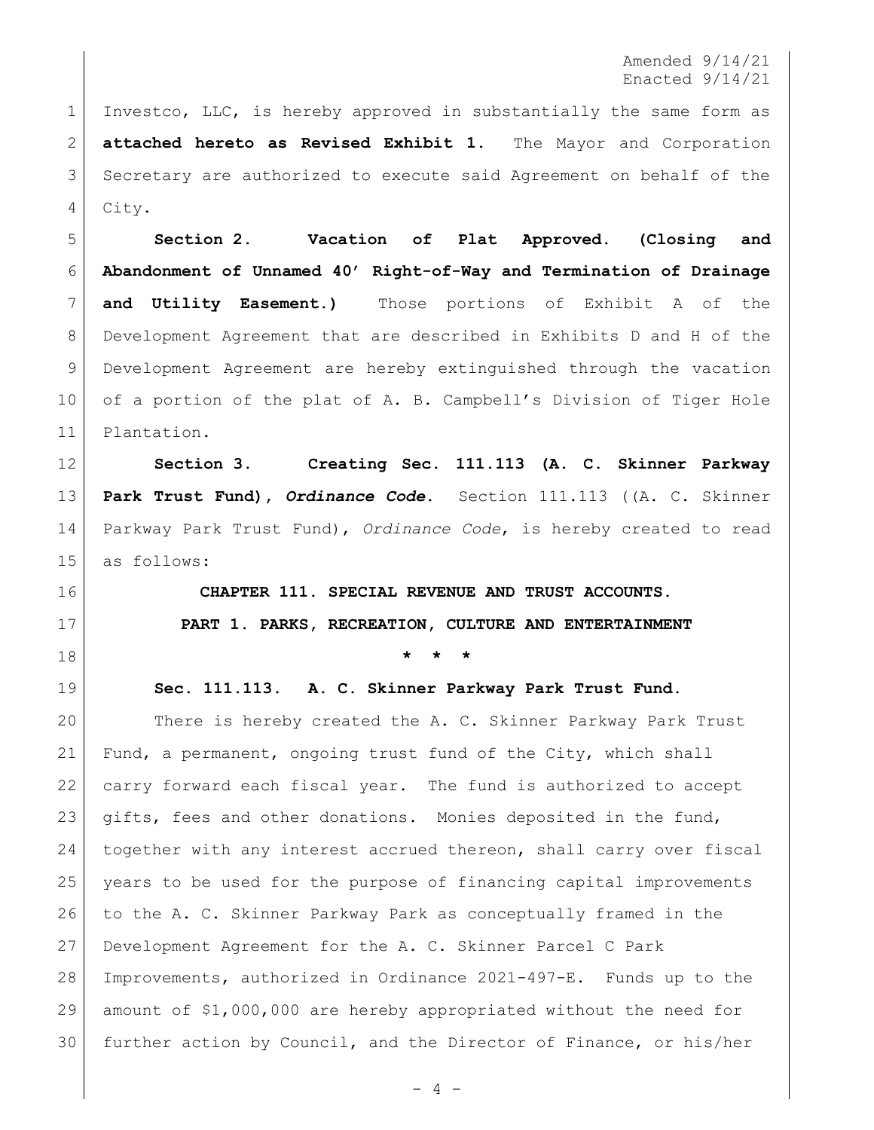Amended 9/14/21 Enacted 9/14/21

1 Investco, LLC, is hereby approved in substantially the same form as **attached hereto as Revised Exhibit 1**. The Mayor and Corporation Secretary are authorized to execute said Agreement on behalf of the City.

 **Section 2. Vacation of Plat Approved. (Closing and Abandonment of Unnamed 40' Right-of-Way and Termination of Drainage and Utility Easement.)** Those portions of Exhibit A of the Development Agreement that are described in Exhibits D and H of the Development Agreement are hereby extinguished through the vacation 10 of a portion of the plat of A. B. Campbell's Division of Tiger Hole Plantation.

 **Section 3. Creating Sec. 111.113 (A. C. Skinner Parkway Park Trust Fund),** *Ordinance Code***.** Section 111.113 ((A. C. Skinner Parkway Park Trust Fund), *Ordinance Code*, is hereby created to read as follows:

## **CHAPTER 111. SPECIAL REVENUE AND TRUST ACCOUNTS. PART 1. PARKS, RECREATION, CULTURE AND ENTERTAINMENT**

**\* \* \***

**Sec. 111.113. A. C. Skinner Parkway Park Trust Fund.**

20 There is hereby created the A. C. Skinner Parkway Park Trust Fund, a permanent, ongoing trust fund of the City, which shall 22 carry forward each fiscal year. The fund is authorized to accept gifts, fees and other donations. Monies deposited in the fund, together with any interest accrued thereon, shall carry over fiscal years to be used for the purpose of financing capital improvements to the A. C. Skinner Parkway Park as conceptually framed in the Development Agreement for the A. C. Skinner Parcel C Park Improvements, authorized in Ordinance 2021-497-E. Funds up to the amount of \$1,000,000 are hereby appropriated without the need for further action by Council, and the Director of Finance, or his/her